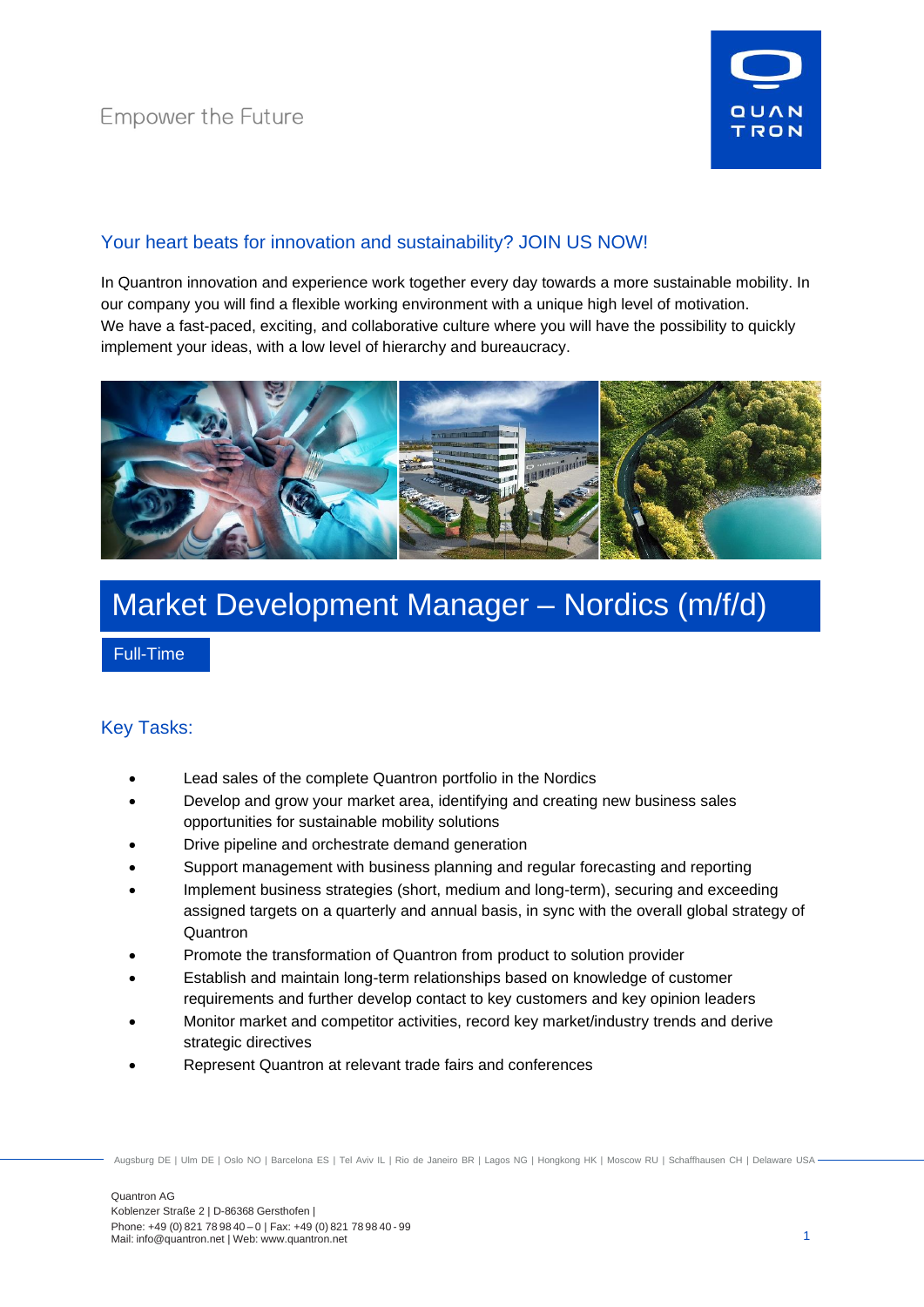

## Your heart beats for innovation and sustainability? JOIN US NOW!

In Quantron innovation and experience work together every day towards a more sustainable mobility. In our company you will find a flexible working environment with a unique high level of motivation. We have a fast-paced, exciting, and collaborative culture where you will have the possibility to quickly implement your ideas, with a low level of hierarchy and bureaucracy.



# Market Development Manager – Nordics (m/f/d)

Full-Time

### Key Tasks:

- Lead sales of the complete Quantron portfolio in the Nordics
- Develop and grow your market area, identifying and creating new business sales opportunities for sustainable mobility solutions
- Drive pipeline and orchestrate demand generation
- Support management with business planning and regular forecasting and reporting
- Implement business strategies (short, medium and long-term), securing and exceeding assigned targets on a quarterly and annual basis, in sync with the overall global strategy of **Quantron**
- Promote the transformation of Quantron from product to solution provider
- Establish and maintain long-term relationships based on knowledge of customer requirements and further develop contact to key customers and key opinion leaders
- Monitor market and competitor activities, record key market/industry trends and derive strategic directives
- Represent Quantron at relevant trade fairs and conferences

Augsburg DE | Ulm DE | Oslo NO | Barcelona ES | Tel Aviv IL | Rio de Janeiro BR | Lagos NG | Hongkong HK | Moscow RU | Schaffhausen CH | Delaware USA